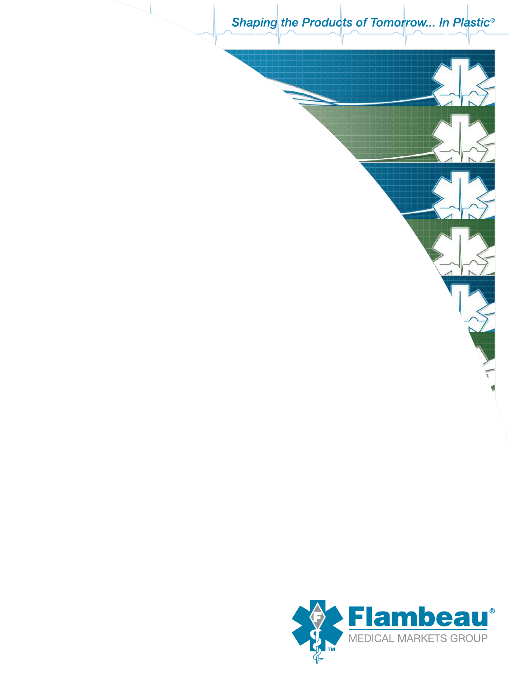Shaping the Products of Tomorrow... In Plastic<sup>®</sup>

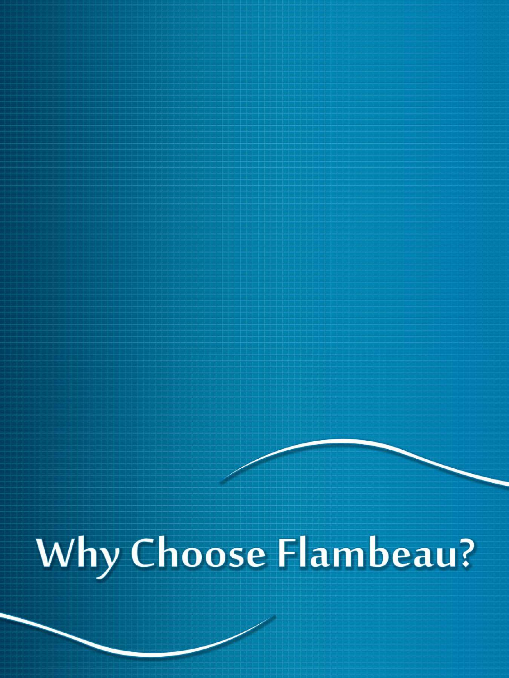Why Choose Flambeau?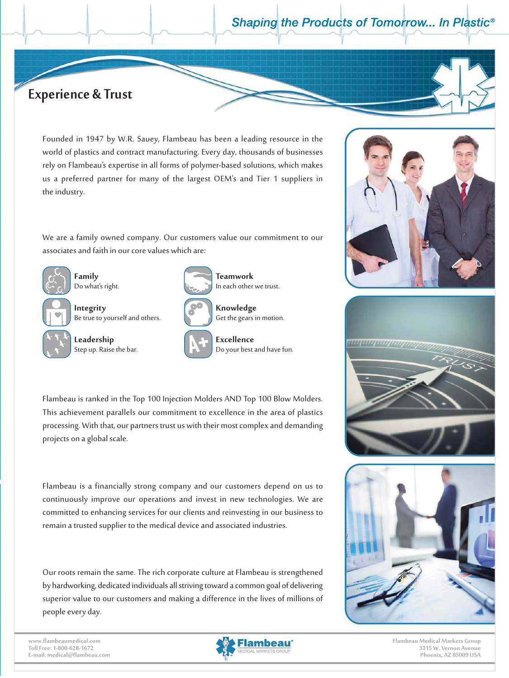## **Experience & Trust**

Founded in 1947 by W.R. Sauey, Flambeau has been a leading resource in the world of plastics and contract manufacturing. Every day, thousands of businesses rely on Flambeau's expertise in all forms of polymer-based solutions, which makes us a preferred partner for many of the largest OEM's and Tier 1 suppliers in the industry.

We are a family owned company. Our customers value our commitment to our associates and faith in our core values which are:



**Family** Do what's right.

projects on a global scale.

**Integrity** Be true to yourself and others.



**Leadership** Step up. Raise the bar.







**Excellence** Do your best and have fun.







Flambeau is a financially strong company and our customers depend on us to continuously improve our operations and invest in new technologies. We are committed to enhancing services for our clients and reinvesting in our business to remain a trusted supplier to the medical device and associated industries.

Flambeau is ranked in the Top 100 Injection Molders AND Top 100 Blow Molders. This achievement parallels our commitment to excellence in the area of plastics processing. With that, our partners trust us with their most complex and demanding

Our roots remain the same. The rich corporate culture at Flambeau is strengthened by hardworking, dedicated individuals all striving toward a common goal of delivering superior value to our customers and making a difference in the lives of millions of people every day.

**www.flambeaumedical.com Toll Free: 1-800-628-1672 E-mail: medical@flambeau.com**

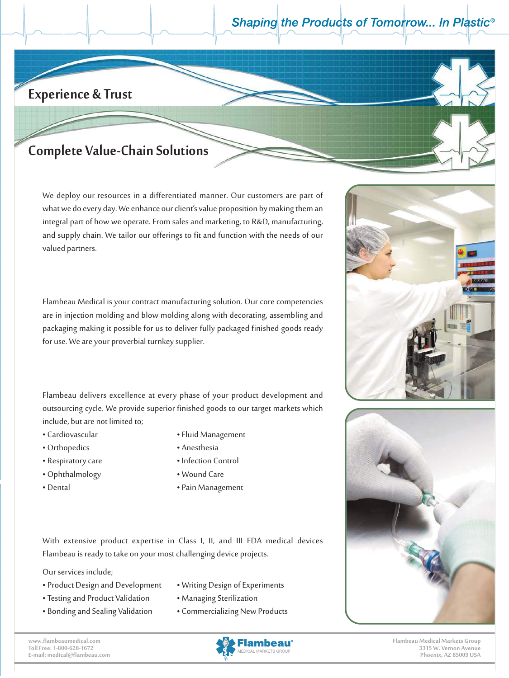## **Experience & Trust**

### Founded in 1947 by W.R. Sauey, Flambeau has been a leading resource in the Complete Value-Chain Solutions

We deploy our resources in a differentiated manner. Our customers are part of and supply chain. We tailor our offerings to fit and function with the needs of our valued partners. what we do every day. We enhance our client's value proposition by making them an integral part of how we operate. From sales and marketing, to R&D, manufacturing,

rely on  $\mathcal{F}$ 

**I**<sup>t</sup>  $\operatorname{section}$  molding and blow for use. We are your proverbial turnkey supplier. Step up. Raise the bar. ا**ست.**<br>بن المال: are in injection molding and blow molding along with decorating, assembling and Flambeau Medical is your contract manufacturing solution. Our core competencies packaging making it possible for us to deliver fully packaged finished goods ready

Flambeau delivers excellence at every phase of your product development and outsourcing cycle. We provide superior finished goods to our target markets which include, but are not limited to;  $\frac{d}{dt}$ 

- Cardiovascular
- Orthopedics Anesthesia
- 
- 
- 
- Fluid Management
- 
- Respiratory care Infection Control
- Ophthalmology Wound Care
- Dental Pain Management

With extensive product expertise in Class I, II, and III FDA medical devices Flambeau is ready to take on your most challenging device projects.

Our services include; The rich corporate culture at Flambeau is strengthened is strengthened in the rich corporate culture at Flambeau is strengthened in the strengthened in the strengthened in the strength of the strength

- Product Design and Development Writing Design of Experiments
- Testing and Product Validation Managing Sterilization
- 
- 
- 
- Bonding and Sealing Validation Commercializing New Products
- 
- 









**Flambeau Medical Markets Group 3315 W. Vernon Avenue Phoenix, AZ 85009 USA**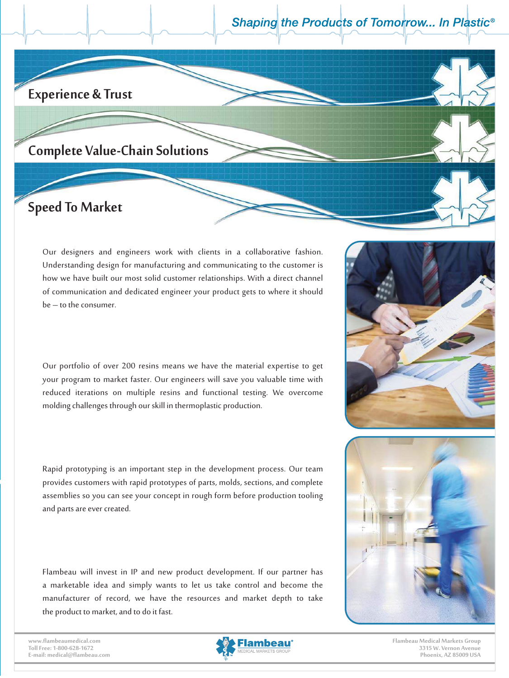## **Experience & Trust**

### Founded in 1947 by W.R. Sauey, Flambeau has been a leading resource in the Complete Value-Chain Solutions

### We deploy our resources in a differentiated manner. Our customers are part of the second manner. Our customers **Speed To Market**

the industry.

Our designers and engineers work with clients in a collaborative fashion. **Family Teamwork** how we have built our most solid customer relationships. With a direct channel of communication and dedicated engineer your product gets to where it should be – to the consumer. Understanding design for manufacturing and communicating to the customer is

rely on Flambeau's expertise in all forms of polymer-based solutions, which makes us a preferred partner for many of the largest OEM's and Tier 1 suppliers in the largest OEM's and Tier 1 suppliers in the largest OEM's and Tier 1 suppliers in the largest OEM's and Tier 1 suppliers in the largest OEM's a

integral part of how we operate. From sales and mathematically satisfy  $\mathcal{L}$ 

request netations on mattiple results and functional testing. We overcome molding challenges through our skill in thermoplastic production.<br>. reduced iterations on multiple resins and functional testing. We overcome Our portfolio of over 200 resins means we have the material expertise to get your program to market faster. Our engineers will save you valuable time with

provides customers with rapid prototypes of parts, molds, sections, and complete<br> assemblies so you can see your concept in rough form before production tooling and parts are ever created.  $\overline{\phantom{a}}$ • Respiratory care • Infection Control Rapid prototyping is an important step in the development process. Our team

Flambeau will invest in IP and new product development. If our partner has a marketable idea and simply wants to let us take control and become the manufacturer of record, we have the resources and market depth to take the product to market, and to do it fast.

**www.flambeaumedical.com Toll Free: 1-800-628-1672 E-mail: medical@flambeau.com**





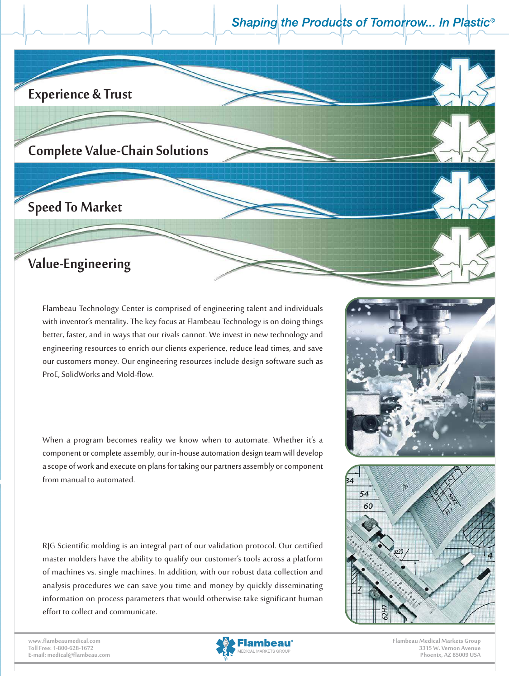

rlambedd reenhology center is comprised or engineering talent and marvidaals<br>with inventor's mentality. The key focus at Flambeau Technology is on doing things **Let, and in ways that our rivals cannot. We invest in** ng resources to enrich our clients experience, reduce lead times,  $\overline{\phantom{a}}$ part inventors memany. The key tocas at riambead reemology is on doing annigs  $f(x)$  and  $f(x)$  are  $f(x)$  and  $f(x)$  are  $f(x)$  supplies. our customers money. Our engineering resources include design software such as ProE, SolidWorks and Mold-flow. with inventor's mentality. The key focus at Flambeau Technology is on doing things better, faster, and in ways that our rivals cannot. We invest in new technology and engineering resources to enrich our clients experience, reduce lead times, and save

.<br>When a program becomes reality we know when to automate. Whether it's a From manual to automated. ence a program securities reality for them shown to automation mechanical instance as<br>component or complete assembly, our in-house automation design team will develop • Perspiratory care • International Control Control Control Control Control Control Control Control Control Control Control Control Control Control Control Control Control Control Control Control Control Control Control Co  $\frac{1}{2}$   $\frac{1}{2}$   $\frac{1}{2}$   $\frac{1}{2}$   $\frac{1}{2}$   $\frac{1}{2}$   $\frac{1}{2}$   $\frac{1}{2}$   $\frac{1}{2}$   $\frac{1}{2}$   $\frac{1}{2}$   $\frac{1}{2}$   $\frac{1}{2}$   $\frac{1}{2}$   $\frac{1}{2}$   $\frac{1}{2}$   $\frac{1}{2}$   $\frac{1}{2}$   $\frac{1}{2}$   $\frac{1}{2}$   $\frac{1}{2}$   $\frac{1}{2}$  a scope of work and execute on plans for taking our partners assembly or component from manual to automated.

of machines vs. single machines. In addition, with our robust data collection and analysis procedures we can save you time and money by quickly disseminating<br>information on process parameters that would otherwise take significant human<br>effort to collect and communicate. information on process parameters that would otherwise take significant human effort to collect and communicate. RJG Scientific molding is an integral part of our validation protocol. Our certified  $\int$  master molders have the ability to qualify our customer's tools across a platform

**www.flambeaumedical.com Toll Free: 1-800-628-1672 E-mail: medical@flambeau.com**



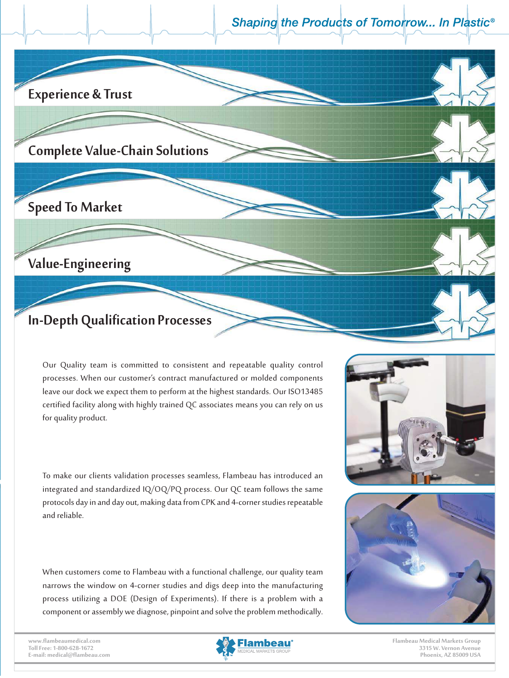## **Experience & Trust**

### Founded in 1947 by W.R. Sauey, Flambeau has been a leading resource in the Complete Value-Chain Solutions

### We deploy our resources in a differentiated manner. Our customers are part of the second manner. Our customers **Speed To Market**

the industry.

**Family** Our designers and engineers work with clients in a collaborative fashion. Value-Engineering **and communication** 

be – to the consumer.

valued partners.

Do what's right.

#### Denth Qualification Processes  $p_{\text{c}}$ Flambeau Technology Center is comprised of engineering talent and individuals In-Depth Qualification Processes

associates and faith in our core values which are:

Flame is an about the supplementary performance in the Inglands and the Top 100 Indian molders And Top 100 Blo<br>Cortified facility along with highly trained OC associates means you can rely on us certified facility along with highly trained QC associates means you can rely on us<br>for quality product processing. With the trust us with the intervals and demanding and demanding and demanding and demanding and demanding  $\frac{1}{2}$ leave our dock we expect them to perform at the highest standards. Our ISO13485 for quality product. Our Quality team is committed to consistent and repeatable quality control processes. When our customer's contract manufactured or molded components

rely on Flambeau's expertise in all forms of polymer-based solutions, which makes us a preferred partner for many of the largest OEM's and Tier 1 suppliers in the largest OEM's and Tier 1 suppliers in the largest OEM's and Tier 1 suppliers in the largest OEM's and Tier 1 suppliers in the largest OEM's a

We are a family of the family of the company. Our company of the company of the company of the commitment to our

Flambeau Medical is your contract manufacturing solution. Our core competencies

 $\boldsymbol{f}$ 

how we have built our most solid customer relationships. With a direct channel of communication and dedicated engineer your product gets to where it should

integral part of how we operate. From sales and marketing, to R&D, manufacturing, and supply chain. We tailor our offering the needs of our offering the needs of our offering the needs of our

**Teamwork**

**Knowledge**

**Excellence** 

 $\ge$ 

Formake our enems vandation processes searmess, manibeau has introduced an<br>integrated and standardized IQ/OQ/PQ process. Our QC team follows the same megrated and standardized regions process. Our general nonows the same<br>protocols dav in and dav out, making data from CPK and 4-corner studies repeatable committed to enhance for our clients and reliable.<br>and reliable. .<br>To make our clients validation processes seamless, Flambeau has introduced an  $\mu$  orocols and mana any or a scope of work and executies on plans for taking our partners assembly or component assembly or component  $\alpha$ To make our clients validation processes seamless, Flambeau has introduced an integrated and standardized IQ/OQ/PQ process. Our QC team follows the same protocols day in and day out, making data from CPK and 4-corner studies repeatable

When customers come to Flambeau with a functional challenge, our quality team When customers come to Flambeau with a functional challenge, our quality team<br>narrows the window on 4-corner studies and digs deep into the manufacturing<br>process utilizing a DOE (Design of Experiments). If there is a probl process utilizing a DOE (Design of Experiments). If there is a problem with a component or assembly we diagnose, pinpoint and solve the problem me

**www.flambeaumedical.com Toll Free: 1-800-628-1672 E-mail: medical@flambeau.com**





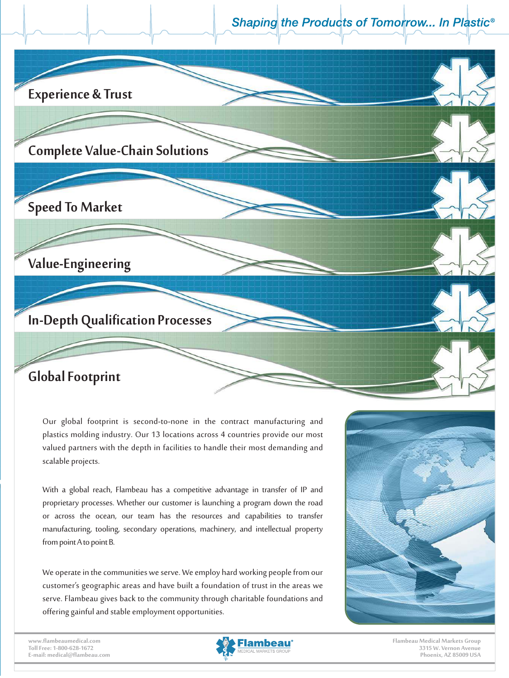

Our global footprint is second-to-none in the contract manufacturing and plastics molding industry. Our 13 locations across 4 countries provide our most valued partners with the depth in facilities to handle their most demanding and<br>————————————————————  $\sf scale$  projects. Rapid prototyping is an important step in the development process. Our team scalable projects.

.<br>With a global reach, Flambeau has a competitive advantage in transfer of IP and  $\frac{c}{c}$  proprietary processes. Whether our customer is launching a program down the road or across the ocean, our team has the resources and capabilities to transfer manufacturing, tooling, secondary operations, machinery, and intellectual property from point A to point B. assemblies so you can see your can see your concept in rough form before production to the production to the p<br>And the production of the production to the production to the production to the production of the production t proprietary processes. *write* With a global reach, Flambeau has a competitive advantage in transfer of IP and<br>proprietary processes. Whether our customer is launching a program down the road proprietary processes. Whether our customer is launching a program down the road

We operate in the communities we serve. We employ hard working people from our<br>customer's geographic areas and have built a foundation of trust in the areas we<br>serve. Flambeau gives back to the community through charitable customer's geographic areas and have built a foundation of trust in the areas we<br>serve. Flambeau gives back to the community through charitable foundations and<br>offering gainful and stable employment opportunities. serve. Flambeau gives back to the community through charitable foundations and offering gainful and stable employment opportunities. We operate in the communities we serve. We employ hard working people from our<br>customer's geographic areas and have built a foundation of trust in the areas we<br>serve. Flambeau gives back to the community through charitable



**www.flambeaumedical.com Toll Free: 1-800-628-1672 E-mail: medical@flambeau.com**